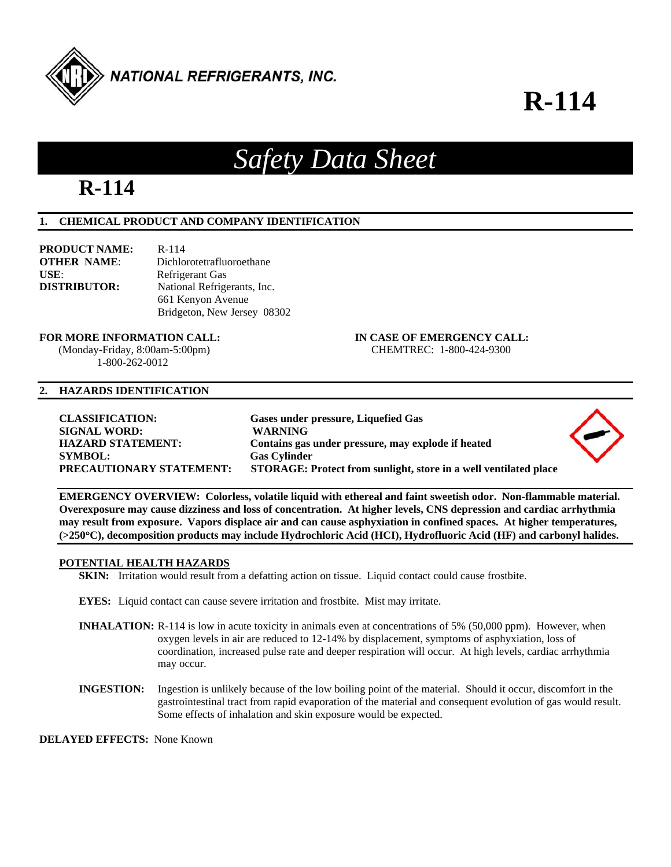

# **R-114**

# **R-114**

# **1. CHEMICAL PRODUCT AND COMPANY IDENTIFICATION**

| <b>PRODUCT NAME:</b> | R-114                       |
|----------------------|-----------------------------|
| <b>OTHER NAME:</b>   | Dichlorotetrafluoroethane   |
| USE:                 | Refrigerant Gas             |
| <b>DISTRIBUTOR:</b>  | National Refrigerants, Inc. |
|                      | 661 Kenyon Avenue           |
|                      | Bridgeton, New Jersey 08302 |

#### **FOR MORE INFORMATION CALL: IN CASE OF EMERGENCY CALL:**

 (Monday-Friday, 8:00am-5:00pm) CHEMTREC: 1-800-424-9300 1-800-262-0012

#### **2. HAZARDS IDENTIFICATION**

*Safety Data Sheet* 

**EMERGENCY OVERVIEW: Colorless, volatile liquid with ethereal and faint sweetish odor. Non-flammable material. Overexposure may cause dizziness and loss of concentration. At higher levels, CNS depression and cardiac arrhythmia may result from exposure. Vapors displace air and can cause asphyxiation in confined spaces. At higher temperatures, (>250C), decomposition products may include Hydrochloric Acid (HCI), Hydrofluoric Acid (HF) and carbonyl halides.** 

# **POTENTIAL HEALTH HAZARDS**

**SKIN:** Irritation would result from a defatting action on tissue. Liquid contact could cause frostbite.

- **EYES:** Liquid contact can cause severe irritation and frostbite. Mist may irritate.
- **INHALATION:** R-114 is low in acute toxicity in animals even at concentrations of 5% (50,000 ppm). However, when oxygen levels in air are reduced to 12-14% by displacement, symptoms of asphyxiation, loss of coordination, increased pulse rate and deeper respiration will occur. At high levels, cardiac arrhythmia may occur.
- **INGESTION:** Ingestion is unlikely because of the low boiling point of the material. Should it occur, discomfort in the gastrointestinal tract from rapid evaporation of the material and consequent evolution of gas would result. Some effects of inhalation and skin exposure would be expected.

**DELAYED EFFECTS:** None Known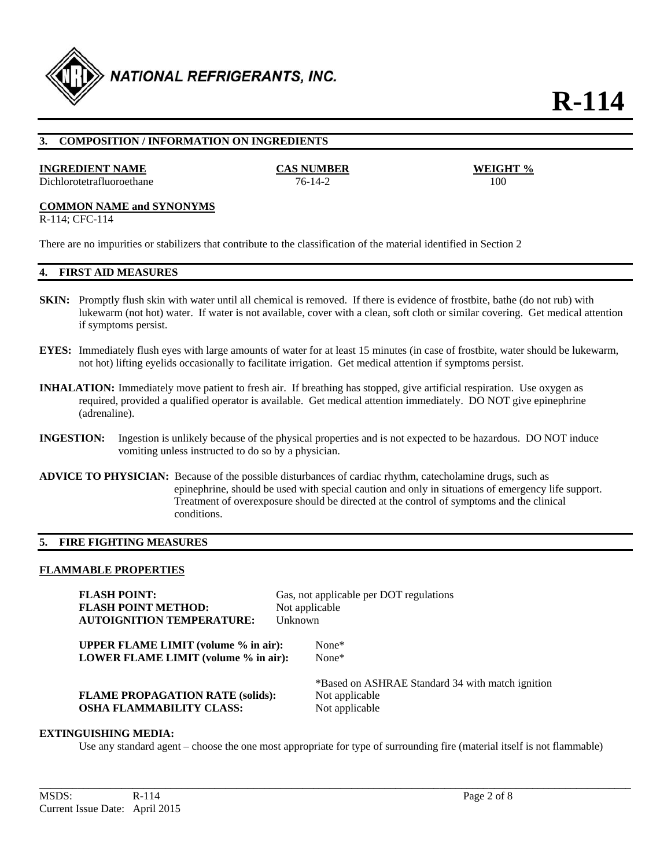

**R-114** 

# **3. COMPOSITION / INFORMATION ON INGREDIENTS**

#### **INGREDIENT NAME CAS NUMBER**

Dichlorotetrafluoroethane 76-14-2

# **COMMON NAME and SYNONYMS**

R-114; CFC-114

There are no impurities or stabilizers that contribute to the classification of the material identified in Section 2

# **4. FIRST AID MEASURES**

- **SKIN:** Promptly flush skin with water until all chemical is removed. If there is evidence of frostbite, bathe (do not rub) with lukewarm (not hot) water. If water is not available, cover with a clean, soft cloth or similar covering. Get medical attention if symptoms persist.
- **EYES:** Immediately flush eyes with large amounts of water for at least 15 minutes (in case of frostbite, water should be lukewarm, not hot) lifting eyelids occasionally to facilitate irrigation. Get medical attention if symptoms persist.
- **INHALATION:** Immediately move patient to fresh air. If breathing has stopped, give artificial respiration. Use oxygen as required, provided a qualified operator is available. Get medical attention immediately. DO NOT give epinephrine (adrenaline).
- **INGESTION:** Ingestion is unlikely because of the physical properties and is not expected to be hazardous. DO NOT induce vomiting unless instructed to do so by a physician.
- **ADVICE TO PHYSICIAN:** Because of the possible disturbances of cardiac rhythm, catecholamine drugs, such as epinephrine, should be used with special caution and only in situations of emergency life support. Treatment of overexposure should be directed at the control of symptoms and the clinical conditions.

#### **5. FIRE FIGHTING MEASURES**

#### **FLAMMABLE PROPERTIES**

| <b>FLASH POINT:</b>                                                                 |                | Gas, not applicable per DOT regulations                                              |
|-------------------------------------------------------------------------------------|----------------|--------------------------------------------------------------------------------------|
| <b>FLASH POINT METHOD:</b>                                                          | Not applicable |                                                                                      |
| <b>AUTOIGNITION TEMPERATURE:</b>                                                    | Unknown        |                                                                                      |
| <b>UPPER FLAME LIMIT</b> (volume % in air):<br>LOWER FLAME LIMIT (volume % in air): |                | None $*$<br>$None*$                                                                  |
| <b>FLAME PROPAGATION RATE (solids):</b><br><b>OSHA FLAMMABILITY CLASS:</b>          |                | *Based on ASHRAE Standard 34 with match ignition<br>Not applicable<br>Not applicable |

#### **EXTINGUISHING MEDIA:**

Use any standard agent – choose the one most appropriate for type of surrounding fire (material itself is not flammable)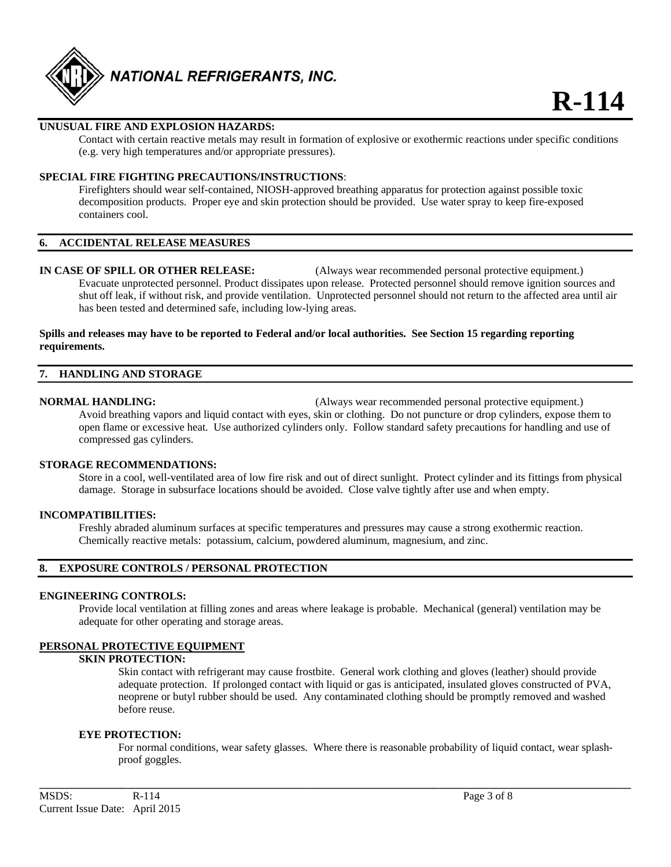

# **UNUSUAL FIRE AND EXPLOSION HAZARDS:**

 Contact with certain reactive metals may result in formation of explosive or exothermic reactions under specific conditions (e.g. very high temperatures and/or appropriate pressures).

# **SPECIAL FIRE FIGHTING PRECAUTIONS/INSTRUCTIONS**:

 Firefighters should wear self-contained, NIOSH-approved breathing apparatus for protection against possible toxic decomposition products. Proper eye and skin protection should be provided. Use water spray to keep fire-exposed containers cool.

#### **6. ACCIDENTAL RELEASE MEASURES**

**IN CASE OF SPILL OR OTHER RELEASE:** (Always wear recommended personal protective equipment.) Evacuate unprotected personnel. Product dissipates upon release. Protected personnel should remove ignition sources and shut off leak, if without risk, and provide ventilation. Unprotected personnel should not return to the affected area until air has been tested and determined safe, including low-lying areas.

#### **Spills and releases may have to be reported to Federal and/or local authorities. See Section 15 regarding reporting requirements.**

# **7. HANDLING AND STORAGE**

**NORMAL HANDLING:** (Always wear recommended personal protective equipment.) Avoid breathing vapors and liquid contact with eyes, skin or clothing. Do not puncture or drop cylinders, expose them to open flame or excessive heat. Use authorized cylinders only. Follow standard safety precautions for handling and use of compressed gas cylinders.

#### **STORAGE RECOMMENDATIONS:**

 Store in a cool, well-ventilated area of low fire risk and out of direct sunlight. Protect cylinder and its fittings from physical damage. Storage in subsurface locations should be avoided. Close valve tightly after use and when empty.

#### **INCOMPATIBILITIES:**

Freshly abraded aluminum surfaces at specific temperatures and pressures may cause a strong exothermic reaction. Chemically reactive metals: potassium, calcium, powdered aluminum, magnesium, and zinc.

# **8. EXPOSURE CONTROLS / PERSONAL PROTECTION**

#### **ENGINEERING CONTROLS:**

 Provide local ventilation at filling zones and areas where leakage is probable. Mechanical (general) ventilation may be adequate for other operating and storage areas.

#### **PERSONAL PROTECTIVE EQUIPMENT**

### **SKIN PROTECTION:**

 Skin contact with refrigerant may cause frostbite. General work clothing and gloves (leather) should provide adequate protection. If prolonged contact with liquid or gas is anticipated, insulated gloves constructed of PVA, neoprene or butyl rubber should be used. Any contaminated clothing should be promptly removed and washed before reuse.

#### **EYE PROTECTION:**

For normal conditions, wear safety glasses. Where there is reasonable probability of liquid contact, wear splashproof goggles.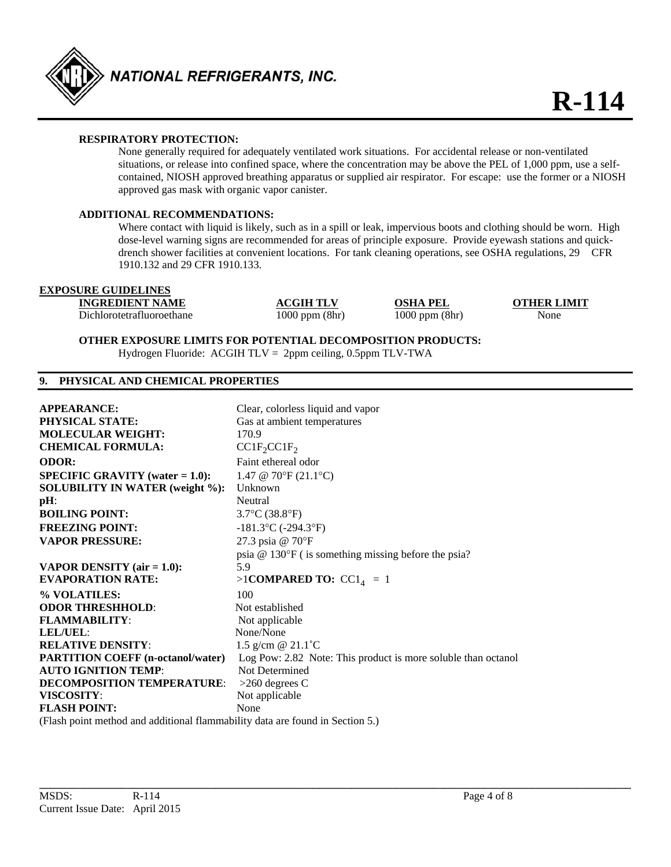

# **RESPIRATORY PROTECTION:**

 None generally required for adequately ventilated work situations. For accidental release or non-ventilated situations, or release into confined space, where the concentration may be above the PEL of 1,000 ppm, use a self contained, NIOSH approved breathing apparatus or supplied air respirator. For escape: use the former or a NIOSH approved gas mask with organic vapor canister.

## **ADDITIONAL RECOMMENDATIONS:**

Where contact with liquid is likely, such as in a spill or leak, impervious boots and clothing should be worn. High dose-level warning signs are recommended for areas of principle exposure. Provide eyewash stations and quick drench shower facilities at convenient locations. For tank cleaning operations, see OSHA regulations, 29 CFR 1910.132 and 29 CFR 1910.133.

# **EXPOSURE GUIDELINES**

**INGREDIENT NAME ACGIH TLV OSHA PEL OTHER LIMIT**

Dichlorotetrafluoroethane 1000 ppm (8hr) 1000 ppm (8hr) None

**OTHER EXPOSURE LIMITS FOR POTENTIAL DECOMPOSITION PRODUCTS:** 

Hydrogen Fluoride: ACGIH TLV = 2ppm ceiling, 0.5ppm TLV-TWA

# **9. PHYSICAL AND CHEMICAL PROPERTIES**

| <b>APPEARANCE:</b>                                                            | Clear, colorless liquid and vapor                             |
|-------------------------------------------------------------------------------|---------------------------------------------------------------|
| PHYSICAL STATE:                                                               | Gas at ambient temperatures                                   |
| <b>MOLECULAR WEIGHT:</b>                                                      | 170.9                                                         |
| <b>CHEMICAL FORMULA:</b>                                                      | $CC1F_2CC1F_2$                                                |
| <b>ODOR:</b>                                                                  | Faint ethereal odor                                           |
| <b>SPECIFIC GRAVITY</b> (water $= 1.0$ ):                                     | 1.47 @ 70°F $(21.1$ °C)                                       |
| <b>SOLUBILITY IN WATER (weight %):</b>                                        | Unknown                                                       |
| pH:                                                                           | Neutral                                                       |
| <b>BOILING POINT:</b>                                                         | $3.7^{\circ}$ C $(38.8^{\circ}F)$                             |
| <b>FREEZING POINT:</b>                                                        | $-181.3$ °C ( $-294.3$ °F)                                    |
| <b>VAPOR PRESSURE:</b>                                                        | 27.3 psia @ 70°F                                              |
|                                                                               | psia $@ 130$ °F (is something missing before the psia?        |
| <b>VAPOR DENSITY</b> (air $= 1.0$ ):                                          | 5.9                                                           |
| <b>EVAPORATION RATE:</b>                                                      | >1COMPARED TO: $CC14 = 1$                                     |
| % VOLATILES:                                                                  | 100                                                           |
| <b>ODOR THRESHHOLD:</b>                                                       | Not established                                               |
| <b>FLAMMABILITY:</b>                                                          | Not applicable                                                |
| LEL/UEL:                                                                      | None/None                                                     |
| <b>RELATIVE DENSITY:</b>                                                      | 1.5 g/cm $@$ 21.1 °C                                          |
| <b>PARTITION COEFF (n-octanol/water)</b>                                      | Log Pow: 2.82 Note: This product is more soluble than octanol |
| <b>AUTO IGNITION TEMP:</b>                                                    | Not Determined                                                |
| DECOMPOSITION TEMPERATURE:                                                    | $>260$ degrees C                                              |
| VISCOSITY:                                                                    | Not applicable                                                |
| <b>FLASH POINT:</b>                                                           | None                                                          |
| (Flash point method and additional flammability data are found in Section 5.) |                                                               |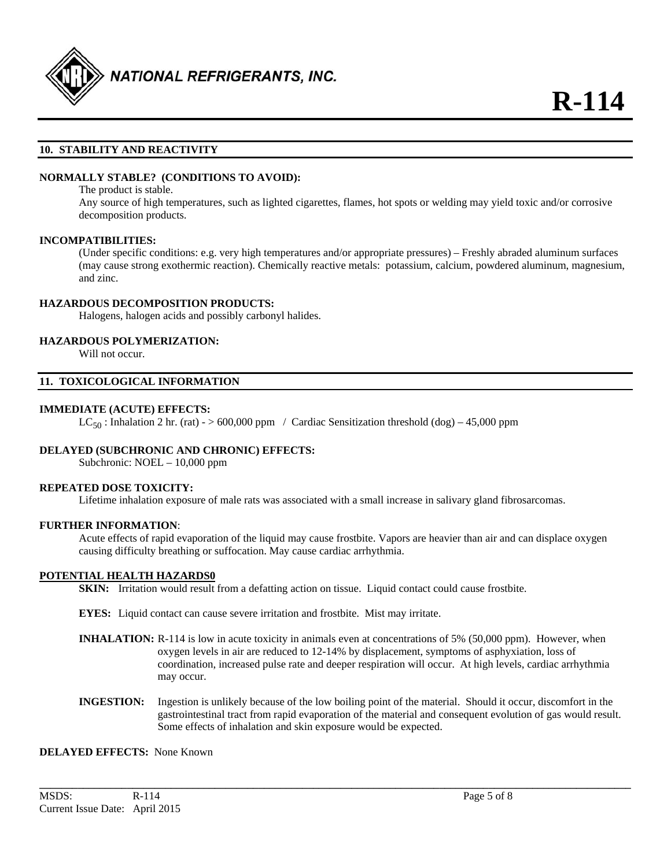

# **10. STABILITY AND REACTIVITY**

# **NORMALLY STABLE? (CONDITIONS TO AVOID):**

The product is stable.

Any source of high temperatures, such as lighted cigarettes, flames, hot spots or welding may yield toxic and/or corrosive decomposition products.

#### **INCOMPATIBILITIES:**

(Under specific conditions: e.g. very high temperatures and/or appropriate pressures) – Freshly abraded aluminum surfaces (may cause strong exothermic reaction). Chemically reactive metals: potassium, calcium, powdered aluminum, magnesium, and zinc.

#### **HAZARDOUS DECOMPOSITION PRODUCTS:**

Halogens, halogen acids and possibly carbonyl halides.

#### **HAZARDOUS POLYMERIZATION:**

Will not occur.

# **11. TOXICOLOGICAL INFORMATION**

#### **IMMEDIATE (ACUTE) EFFECTS:**

 $LC_{50}$ : Inhalation 2 hr. (rat) - > 600,000 ppm / Cardiac Sensitization threshold (dog) – 45,000 ppm

#### **DELAYED (SUBCHRONIC AND CHRONIC) EFFECTS:**

Subchronic: NOEL – 10,000 ppm

#### **REPEATED DOSE TOXICITY:**

Lifetime inhalation exposure of male rats was associated with a small increase in salivary gland fibrosarcomas.

#### **FURTHER INFORMATION**:

Acute effects of rapid evaporation of the liquid may cause frostbite. Vapors are heavier than air and can displace oxygen causing difficulty breathing or suffocation. May cause cardiac arrhythmia.

#### **POTENTIAL HEALTH HAZARDS0**

**SKIN:** Irritation would result from a defatting action on tissue. Liquid contact could cause frostbite.

**EYES:** Liquid contact can cause severe irritation and frostbite. Mist may irritate.

- **INHALATION:** R-114 is low in acute toxicity in animals even at concentrations of 5% (50,000 ppm). However, when oxygen levels in air are reduced to 12-14% by displacement, symptoms of asphyxiation, loss of coordination, increased pulse rate and deeper respiration will occur. At high levels, cardiac arrhythmia may occur.
- **INGESTION:** Ingestion is unlikely because of the low boiling point of the material. Should it occur, discomfort in the gastrointestinal tract from rapid evaporation of the material and consequent evolution of gas would result. Some effects of inhalation and skin exposure would be expected.

**\_\_\_\_\_\_\_\_\_\_\_\_\_\_\_\_\_\_\_\_\_\_\_\_\_\_\_\_\_\_\_\_\_\_\_\_\_\_\_\_\_\_\_\_\_\_\_\_\_\_\_\_\_\_\_\_\_\_\_\_\_\_\_\_\_\_\_\_\_\_\_\_\_\_\_\_\_\_\_\_\_\_\_\_\_\_\_\_\_\_\_\_\_\_\_\_\_\_\_\_\_\_\_\_\_\_\_\_** 

#### **DELAYED EFFECTS:** None Known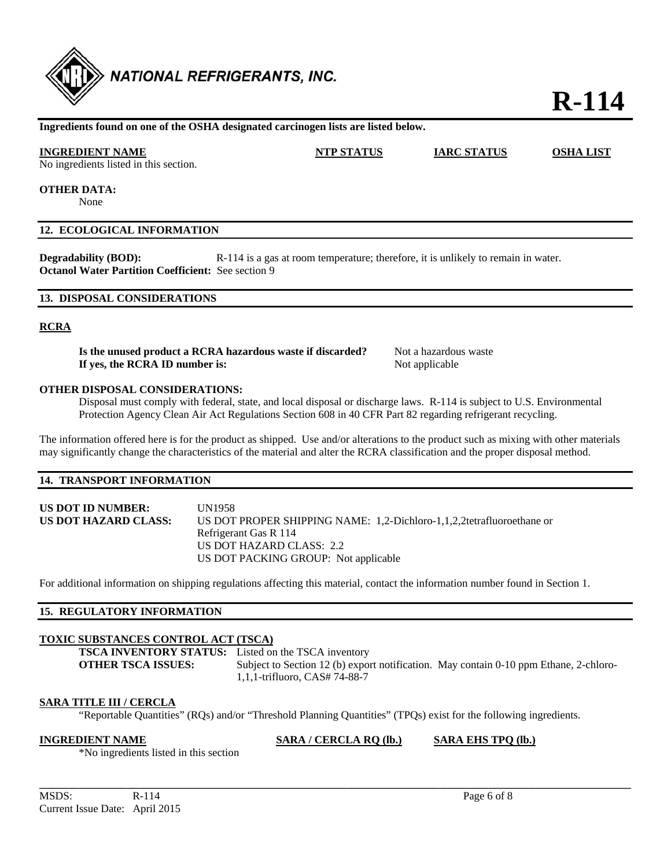

# **R-114**

#### **Ingredients found on one of the OSHA designated carcinogen lists are listed below.**

# **INGREDIENT NAME NTP STATUS IARC STATUS OSHA LIST**

No ingredients listed in this section.

**OTHER DATA:** 

None

#### **12. ECOLOGICAL INFORMATION**

**Degradability (BOD):** R-114 is a gas at room temperature; therefore, it is unlikely to remain in water. **Octanol Water Partition Coefficient:** See section 9

#### **13. DISPOSAL CONSIDERATIONS**

#### **RCRA**

**Is the unused product a RCRA hazardous waste if discarded?** Not a hazardous waste **If yes, the RCRA ID number is:** Not applicable

#### **OTHER DISPOSAL CONSIDERATIONS:**

 Disposal must comply with federal, state, and local disposal or discharge laws. R-114 is subject to U.S. Environmental Protection Agency Clean Air Act Regulations Section 608 in 40 CFR Part 82 regarding refrigerant recycling.

The information offered here is for the product as shipped. Use and/or alterations to the product such as mixing with other materials may significantly change the characteristics of the material and alter the RCRA classification and the proper disposal method.

#### **14. TRANSPORT INFORMATION**

**US DOT ID NUMBER:** UN1958 **US DOT HAZARD CLASS:** US DOT PROPER SHIPPING NAME: 1,2-Dichloro-1,1,2,2tetrafluoroethane or Refrigerant Gas R 114 US DOT HAZARD CLASS: 2.2 US DOT PACKING GROUP: Not applicable

For additional information on shipping regulations affecting this material, contact the information number found in Section 1.

# **15. REGULATORY INFORMATION**

# **TOXIC SUBSTANCES CONTROL ACT (TSCA)**

**TSCA INVENTORY STATUS:** Listed on the TSCA inventory

**OTHER TSCA ISSUES:** Subject to Section 12 (b) export notification. May contain 0-10 ppm Ethane, 2-chloro-1,1,1-trifluoro, CAS# 74-88-7

# **SARA TITLE III / CERCLA**

"Reportable Quantities" (RQs) and/or "Threshold Planning Quantities" (TPQs) exist for the following ingredients.

**INGREDIENT NAME SARA / CERCLA RQ (lb.) SARA EHS TPQ (lb.)**

\*No ingredients listed in this section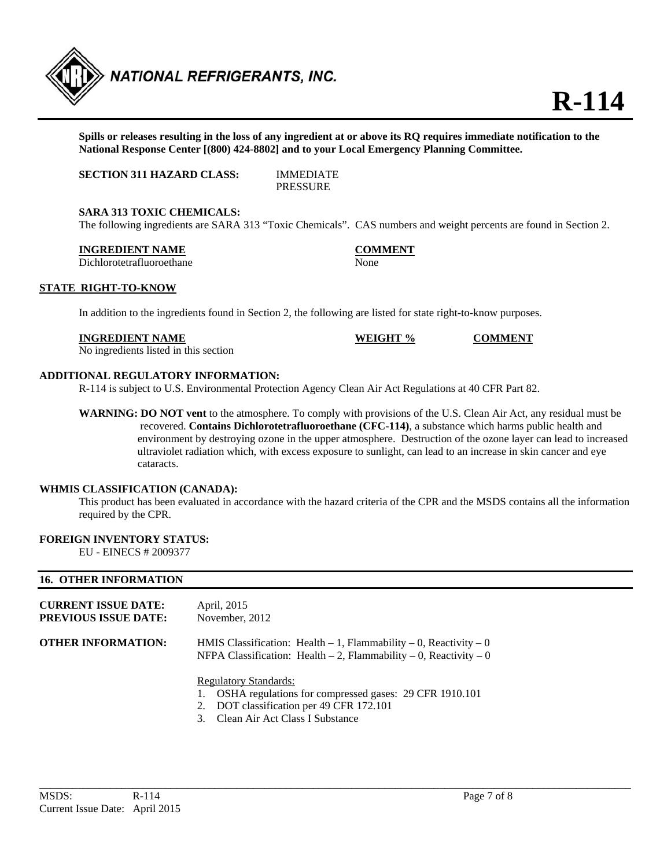

**Spills or releases resulting in the loss of any ingredient at or above its RQ requires immediate notification to the National Response Center [(800) 424-8802] and to your Local Emergency Planning Committee.** 

**SECTION 311 HAZARD CLASS:** IMMEDIATE

PRESSURE

#### **SARA 313 TOXIC CHEMICALS:**

The following ingredients are SARA 313 "Toxic Chemicals". CAS numbers and weight percents are found in Section 2.

#### **INGREDIENT NAME COMMENT**

Dichlorotetrafluoroethane None

#### **STATE RIGHT-TO-KNOW**

In addition to the ingredients found in Section 2, the following are listed for state right-to-know purposes.

|       | INGREDIENT NAME |  |  | WEIGHT % | <b>COMMENT</b> |
|-------|-----------------|--|--|----------|----------------|
| - - - |                 |  |  |          |                |

No ingredients listed in this section

# **ADDITIONAL REGULATORY INFORMATION:**

R-114 is subject to U.S. Environmental Protection Agency Clean Air Act Regulations at 40 CFR Part 82.

**WARNING: DO NOT vent** to the atmosphere. To comply with provisions of the U.S. Clean Air Act, any residual must be recovered. **Contains Dichlorotetrafluoroethane (CFC-114)**, a substance which harms public health and environment by destroying ozone in the upper atmosphere. Destruction of the ozone layer can lead to increased ultraviolet radiation which, with excess exposure to sunlight, can lead to an increase in skin cancer and eye cataracts.

# **WHMIS CLASSIFICATION (CANADA):**

 This product has been evaluated in accordance with the hazard criteria of the CPR and the MSDS contains all the information required by the CPR.

# **FOREIGN INVENTORY STATUS:**

EU - EINECS # 2009377

# **16. OTHER INFORMATION**

| <b>CURRENT ISSUE DATE:</b><br><b>PREVIOUS ISSUE DATE:</b> | April, 2015<br>November, 2012                                                                                                                                              |  |
|-----------------------------------------------------------|----------------------------------------------------------------------------------------------------------------------------------------------------------------------------|--|
| OTHER INFORMATION:                                        | HMIS Classification: Health $-1$ , Flammability $-0$ , Reactivity $-0$<br>NFPA Classification: Health $-2$ , Flammability $-0$ , Reactivity $-0$                           |  |
|                                                           | <b>Regulatory Standards:</b><br>OSHA regulations for compressed gases: 29 CFR 1910.101<br>2. DOT classification per 49 CFR 172.101<br>Clean Air Act Class I Substance<br>3 |  |